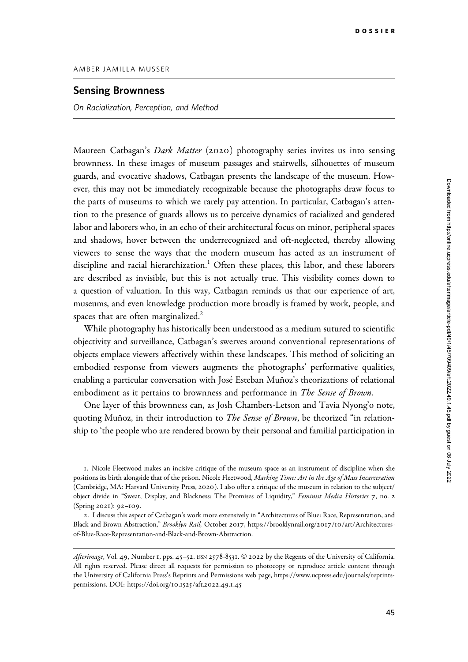## Downloaded from http://online.ucpress.edu/afterimage/article-pdf/49/1/45/709409/aft.2022.49.1.45.pdf by guest on 06 July 2022 Downloaded from http://online.ucpress.edu/afterimage/article-pdf/49/1/45/709409/aft.2022.49.1.45.pdf by guest on 06 July 2022

## AMBER JAMILLA MUSSER

## Sensing Brownness

On Racialization, Perception, and Method

Maureen Catbagan's *Dark Matter* (2020) photography series invites us into sensing brownness. In these images of museum passages and stairwells, silhouettes of museum guards, and evocative shadows, Catbagan presents the landscape of the museum. However, this may not be immediately recognizable because the photographs draw focus to the parts of museums to which we rarely pay attention. In particular, Catbagan's attention to the presence of guards allows us to perceive dynamics of racialized and gendered labor and laborers who, in an echo of their architectural focus on minor, peripheral spaces and shadows, hover between the underrecognized and oft-neglected, thereby allowing viewers to sense the ways that the modern museum has acted as an instrument of discipline and racial hierarchization.<sup>1</sup> Often these places, this labor, and these laborers are described as invisible, but this is not actually true. This visibility comes down to a question of valuation. In this way, Catbagan reminds us that our experience of art, museums, and even knowledge production more broadly is framed by work, people, and spaces that are often marginalized.<sup>2</sup>

While photography has historically been understood as a medium sutured to scientific objectivity and surveillance, Catbagan's swerves around conventional representations of objects emplace viewers affectively within these landscapes. This method of soliciting an embodied response from viewers augments the photographs' performative qualities, enabling a particular conversation with José Esteban Muñoz's theorizations of relational embodiment as it pertains to brownness and performance in The Sense of Brown.

One layer of this brownness can, as Josh Chambers-Letson and Tavia Nyong'o note, quoting Muñoz, in their introduction to *The Sense of Brown*, be theorized "in relationship to 'the people who are rendered brown by their personal and familial participation in

1. Nicole Fleetwood makes an incisive critique of the museum space as an instrument of discipline when she positions its birth alongside that of the prison. Nicole Fleetwood, Marking Time: Art in the Age of Mass Incarceration (Cambridge, MA: Harvard University Press, 2020). I also offer a critique of the museum in relation to the subject/ object divide in "Sweat, Display, and Blackness: The Promises of Liquidity," Feminist Media Histories 7, no. 2 (Spring 2021): 92–109.

<sup>2</sup>. I discuss this aspect of Catbagan's work more extensively in "Architectures of Blue: Race, Representation, and Black and Brown Abstraction," Brooklyn Rail, October 2017, [https://brooklynrail.org/](https://brooklynrail.org/2017/10/art/Architectures-of-Blue-Race-Representation-and-Black-and-Brown-Abstraction)2017/10/art/Architectures[of-Blue-Race-Representation-and-Black-and-Brown-Abstraction.](https://brooklynrail.org/2017/10/art/Architectures-of-Blue-Race-Representation-and-Black-and-Brown-Abstraction)

Afterimage, Vol. 49, Number 1, pps. 45-52. ISSN 2578-8531. © 2022 by the Regents of the University of California. All rights reserved. Please direct all requests for permission to photocopy or reproduce article content through the University of California Press's Reprints and Permissions web page, [https://www.ucpress.edu/journals/reprints](https://www.ucpress.edu/journals/reprints-permissions)[permissions.](https://www.ucpress.edu/journals/reprints-permissions) [DOI: https://doi.org/](https://doi.org/10.1525/aft.2022.49.1.45)10.1525/aft.2022.49.1.45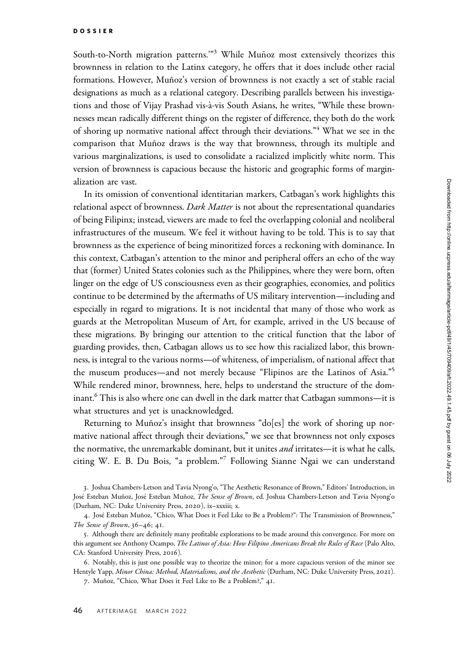South-to-North migration patterns."<sup>3</sup> While Muñoz most extensively theorizes this brownness in relation to the Latinx category, he offers that it does include other racial formations. However, Muñoz's version of brownness is not exactly a set of stable racial designations as much as a relational category. Describing parallels between his investigations and those of Vijay Prashad vis-à-vis South Asians, he writes, "While these brownnesses mean radically different things on the register of difference, they both do the work of shoring up normative national affect through their deviations."<sup>4</sup> What we see in the comparison that Muñoz draws is the way that brownness, through its multiple and various marginalizations, is used to consolidate a racialized implicitly white norm. This version of brownness is capacious because the historic and geographic forms of marginalization are vast.

In its omission of conventional identitarian markers, Catbagan's work highlights this relational aspect of brownness. Dark Matter is not about the representational quandaries of being Filipinx; instead, viewers are made to feel the overlapping colonial and neoliberal infrastructures of the museum. We feel it without having to be told. This is to say that brownness as the experience of being minoritized forces a reckoning with dominance. In this context, Catbagan's attention to the minor and peripheral offers an echo of the way that (former) United States colonies such as the Philippines, where they were born, often linger on the edge of US consciousness even as their geographies, economies, and politics continue to be determined by the aftermaths of US military intervention—including and especially in regard to migrations. It is not incidental that many of those who work as guards at the Metropolitan Museum of Art, for example, arrived in the US because of these migrations. By bringing our attention to the critical function that the labor of guarding provides, then, Catbagan allows us to see how this racialized labor, this brownness, is integral to the various norms—of whiteness, of imperialism, of national affect that the museum produces—and not merely because "Flipinos are the Latinos of Asia."5 While rendered minor, brownness, here, helps to understand the structure of the dominant.<sup>6</sup> This is also where one can dwell in the dark matter that Catbagan summons—it is what structures and yet is unacknowledged.

Returning to Muñoz's insight that brownness "do[es] the work of shoring up normative national affect through their deviations," we see that brownness not only exposes the normative, the unremarkable dominant, but it unites *and* irritates—it is what he calls, citing W. E. B. Du Bois, "a problem."<sup>7</sup> Following Sianne Ngai we can understand

<sup>3</sup>. Joshua Chambers-Letson and Tavia Nyong'o, "The Aesthetic Resonance of Brown," Editors' Introduction, in José Esteban Muñoz, José Esteban Muñoz, The Sense of Brown, ed. Joshua Chambers-Letson and Tavia Nyong'o (Durham, NC: Duke University Press, 2020), ix–xxxiii; x.

<sup>4.</sup> José Esteban Muñoz, "Chico, What Does it Feel Like to Be a Problem?": The Transmission of Brownness," The Sense of Brown, 36–46; 41.

<sup>5</sup>. Although there are definitely many profitable explorations to be made around this convergence. For more on this argument see Anthony Ocampo, The Latinos of Asia: How Filipino Americans Break the Rules of Race (Palo Alto, CA: Stanford University Press, 2016).

<sup>6</sup>. Notably, this is just one possible way to theorize the minor; for a more capacious version of the minor see Hentyle Yapp, Minor China: Method, Materialisms, and the Aesthetic (Durham, NC: Duke University Press, 2021).

<sup>7.</sup> Muñoz, "Chico, What Does it Feel Like to Be a Problem?," 41.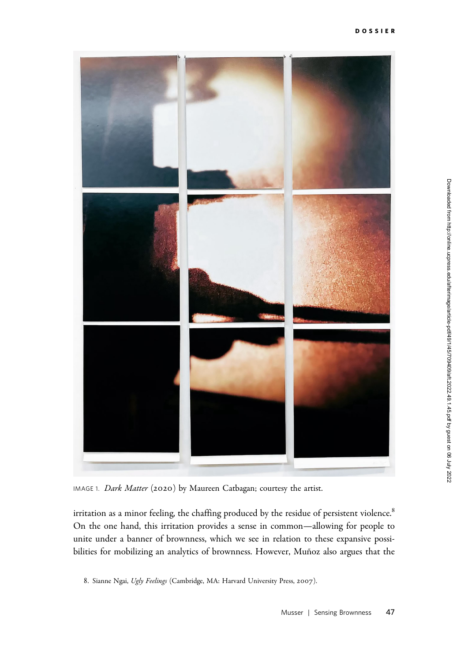

IMAGE 1. Dark Matter (2020) by Maureen Catbagan; courtesy the artist.

irritation as a minor feeling, the chaffing produced by the residue of persistent violence.<sup>8</sup> On the one hand, this irritation provides a sense in common—allowing for people to unite under a banner of brownness, which we see in relation to these expansive possibilities for mobilizing an analytics of brownness. However, Muñoz also argues that the

<sup>8.</sup> Sianne Ngai, Ugly Feelings (Cambridge, MA: Harvard University Press, 2007).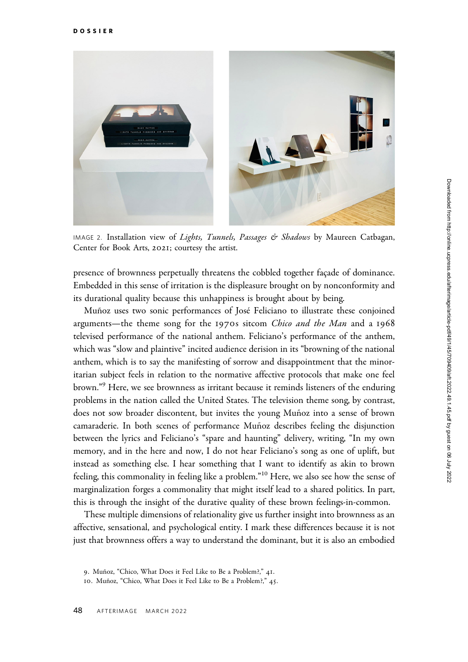

IMAGE 2. Installation view of Lights, Tunnels, Passages & Shadows by Maureen Catbagan, Center for Book Arts, 2021; courtesy the artist.

presence of brownness perpetually threatens the cobbled together façade of dominance. Embedded in this sense of irritation is the displeasure brought on by nonconformity and its durational quality because this unhappiness is brought about by being.

Muñoz uses two sonic performances of José Feliciano to illustrate these conjoined arguments—the theme song for the 1970s sitcom *Chico and the Man* and a 1968 televised performance of the national anthem. Feliciano's performance of the anthem, which was "slow and plaintive" incited audience derision in its "browning of the national anthem, which is to say the manifesting of sorrow and disappointment that the minoritarian subject feels in relation to the normative affective protocols that make one feel brown."<sup>9</sup> Here, we see brownness as irritant because it reminds listeners of the enduring problems in the nation called the United States. The television theme song, by contrast, does not sow broader discontent, but invites the young Muñoz into a sense of brown camaraderie. In both scenes of performance Muñoz describes feeling the disjunction between the lyrics and Feliciano's "spare and haunting" delivery, writing, "In my own memory, and in the here and now, I do not hear Feliciano's song as one of uplift, but instead as something else. I hear something that I want to identify as akin to brown feeling, this commonality in feeling like a problem."<sup>10</sup> Here, we also see how the sense of marginalization forges a commonality that might itself lead to a shared politics. In part, this is through the insight of the durative quality of these brown feelings-in-common.

These multiple dimensions of relationality give us further insight into brownness as an affective, sensational, and psychological entity. I mark these differences because it is not just that brownness offers a way to understand the dominant, but it is also an embodied

<sup>9.</sup> Muñoz, "Chico, What Does it Feel Like to Be a Problem?," 41.

<sup>10.</sup> Muñoz, "Chico, What Does it Feel Like to Be a Problem?," 45.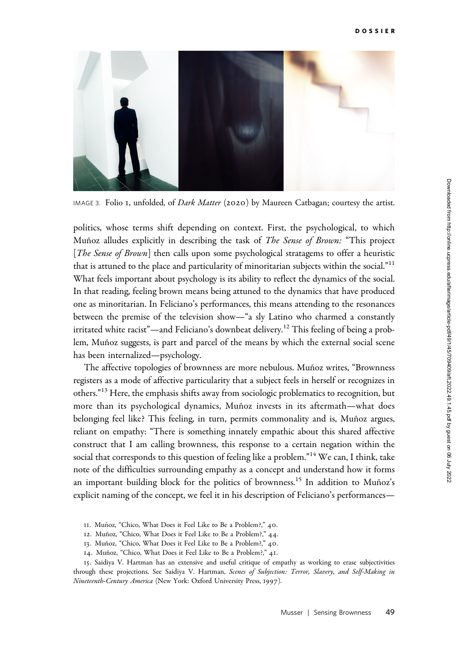

IMAGE 3. Folio I, unfolded, of *Dark Matter* (2020) by Maureen Catbagan; courtesy the artist.

politics, whose terms shift depending on context. First, the psychological, to which Munoz alludes explicitly in describing the task of *The Sense of Brown:* "This project [*The Sense of Brown*] then calls upon some psychological stratagems to offer a heuristic that is attuned to the place and particularity of minoritarian subjects within the social."<sup>11</sup> What feels important about psychology is its ability to reflect the dynamics of the social. In that reading, feeling brown means being attuned to the dynamics that have produced one as minoritarian. In Feliciano's performances, this means attending to the resonances between the premise of the television show—"a sly Latino who charmed a constantly irritated white racist"—and Feliciano's downbeat delivery.<sup>12</sup> This feeling of being a problem, Muñoz suggests, is part and parcel of the means by which the external social scene has been internalized—psychology.

The affective topologies of brownness are more nebulous. Muñoz writes, "Brownness" registers as a mode of affective particularity that a subject feels in herself or recognizes in others."<sup>13</sup> Here, the emphasis shifts away from sociologic problematics to recognition, but more than its psychological dynamics, Muñoz invests in its aftermath—what does belonging feel like? This feeling, in turn, permits commonality and is, Muñoz argues, reliant on empathy: "There is something innately empathic about this shared affective construct that I am calling brownness, this response to a certain negation within the social that corresponds to this question of feeling like a problem."<sup>14</sup> We can, I think, take note of the difficulties surrounding empathy as a concept and understand how it forms an important building block for the politics of brownness.<sup>15</sup> In addition to Muñoz's explicit naming of the concept, we feel it in his description of Feliciano's performances—

- 12. Muñoz, "Chico, What Does it Feel Like to Be a Problem?," 44.
- 13. Muñoz, "Chico, What Does it Feel Like to Be a Problem?," 40.
- 14. Muñoz, "Chico, What Does it Feel Like to Be a Problem?," 41.

15. Saidiya V. Hartman has an extensive and useful critique of empathy as working to erase subjectivities through these projections. See Saidiya V. Hartman, Scenes of Subjection: Terror, Slavery, and Self-Making in Nineteenth-Century America (New York: Oxford University Press, 1997).

<sup>11.</sup> Muñoz, "Chico, What Does it Feel Like to Be a Problem?," 40.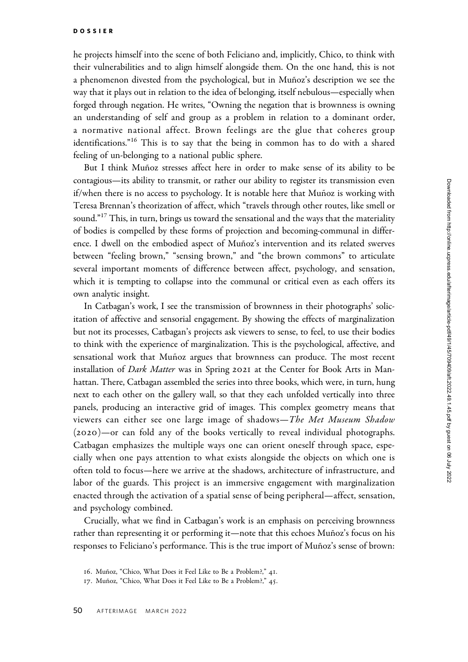he projects himself into the scene of both Feliciano and, implicitly, Chico, to think with their vulnerabilities and to align himself alongside them. On the one hand, this is not a phenomenon divested from the psychological, but in Muñoz's description we see the way that it plays out in relation to the idea of belonging, itself nebulous—especially when forged through negation. He writes, "Owning the negation that is brownness is owning an understanding of self and group as a problem in relation to a dominant order, a normative national affect. Brown feelings are the glue that coheres group identifications."<sup>16</sup> This is to say that the being in common has to do with a shared feeling of un-belonging to a national public sphere.

But I think Muñoz stresses affect here in order to make sense of its ability to be contagious—its ability to transmit, or rather our ability to register its transmission even  $if/$ when there is no access to psychology. It is notable here that Muñoz is working with Teresa Brennan's theorization of affect, which "travels through other routes, like smell or sound."<sup>17</sup> This, in turn, brings us toward the sensational and the ways that the materiality of bodies is compelled by these forms of projection and becoming-communal in difference. I dwell on the embodied aspect of Muñoz's intervention and its related swerves between "feeling brown," "sensing brown," and "the brown commons" to articulate several important moments of difference between affect, psychology, and sensation, which it is tempting to collapse into the communal or critical even as each offers its own analytic insight.

In Catbagan's work, I see the transmission of brownness in their photographs' solicitation of affective and sensorial engagement. By showing the effects of marginalization but not its processes, Catbagan's projects ask viewers to sense, to feel, to use their bodies to think with the experience of marginalization. This is the psychological, affective, and sensational work that Muñoz argues that brownness can produce. The most recent installation of Dark Matter was in Spring 2021 at the Center for Book Arts in Manhattan. There, Catbagan assembled the series into three books, which were, in turn, hung next to each other on the gallery wall, so that they each unfolded vertically into three panels, producing an interactive grid of images. This complex geometry means that viewers can either see one large image of shadows—The Met Museum Shadow (2020)—or can fold any of the books vertically to reveal individual photographs. Catbagan emphasizes the multiple ways one can orient oneself through space, especially when one pays attention to what exists alongside the objects on which one is often told to focus—here we arrive at the shadows, architecture of infrastructure, and labor of the guards. This project is an immersive engagement with marginalization enacted through the activation of a spatial sense of being peripheral—affect, sensation, and psychology combined.

Crucially, what we find in Catbagan's work is an emphasis on perceiving brownness rather than representing it or performing it—note that this echoes Muñoz's focus on his responses to Feliciano's performance. This is the true import of Muñoz's sense of brown:

<sup>16.</sup> Muñoz, "Chico, What Does it Feel Like to Be a Problem?," 41.

<sup>17.</sup> Muñoz, "Chico, What Does it Feel Like to Be a Problem?," 45.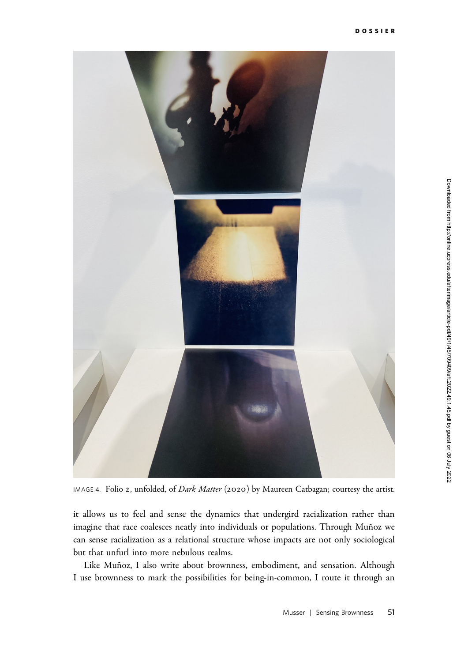

IMAGE 4. Folio 2, unfolded, of Dark Matter (2020) by Maureen Catbagan; courtesy the artist.

it allows us to feel and sense the dynamics that undergird racialization rather than imagine that race coalesces neatly into individuals or populations. Through Muñoz we can sense racialization as a relational structure whose impacts are not only sociological but that unfurl into more nebulous realms.

Like Muñoz, I also write about brownness, embodiment, and sensation. Although I use brownness to mark the possibilities for being-in-common, I route it through an